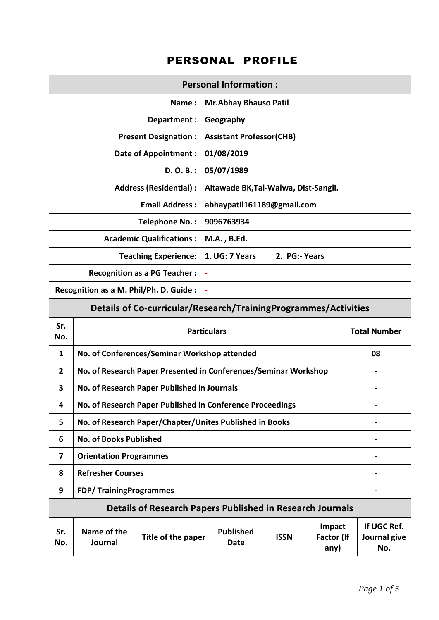## PERSONAL PROFILE

|                                                                 | <b>Personal Information:</b>                                                                                                   |                                                                  |                                      |               |  |  |                                    |
|-----------------------------------------------------------------|--------------------------------------------------------------------------------------------------------------------------------|------------------------------------------------------------------|--------------------------------------|---------------|--|--|------------------------------------|
| <b>Mr.Abhay Bhauso Patil</b><br>Name:                           |                                                                                                                                |                                                                  |                                      |               |  |  |                                    |
|                                                                 |                                                                                                                                | Department :                                                     | Geography                            |               |  |  |                                    |
|                                                                 |                                                                                                                                | <b>Present Designation:</b>                                      | <b>Assistant Professor(CHB)</b>      |               |  |  |                                    |
|                                                                 |                                                                                                                                | <b>Date of Appointment:</b>                                      | 01/08/2019                           |               |  |  |                                    |
|                                                                 |                                                                                                                                | $D. O. B.$ :                                                     | 05/07/1989                           |               |  |  |                                    |
|                                                                 |                                                                                                                                | <b>Address (Residential):</b>                                    | Aitawade BK, Tal-Walwa, Dist-Sangli. |               |  |  |                                    |
|                                                                 |                                                                                                                                | <b>Email Address:</b>                                            | abhaypatil161189@gmail.com           |               |  |  |                                    |
|                                                                 |                                                                                                                                | Telephone No.:                                                   | 9096763934                           |               |  |  |                                    |
|                                                                 |                                                                                                                                | <b>Academic Qualifications:</b>                                  | M.A., B.Ed.                          |               |  |  |                                    |
|                                                                 |                                                                                                                                | <b>Teaching Experience:</b>                                      | 1. UG: 7 Years                       | 2. PG:- Years |  |  |                                    |
|                                                                 |                                                                                                                                | <b>Recognition as a PG Teacher:</b>                              |                                      |               |  |  |                                    |
|                                                                 | Recognition as a M. Phil/Ph. D. Guide :<br>$\overline{\phantom{a}}$                                                            |                                                                  |                                      |               |  |  |                                    |
| Details of Co-curricular/Research/TrainingProgrammes/Activities |                                                                                                                                |                                                                  |                                      |               |  |  |                                    |
| Sr.<br>No.                                                      | <b>Total Number</b><br><b>Particulars</b>                                                                                      |                                                                  |                                      |               |  |  |                                    |
| 1                                                               | No. of Conferences/Seminar Workshop attended<br>08                                                                             |                                                                  |                                      |               |  |  |                                    |
| 2                                                               | No. of Research Paper Presented in Conferences/Seminar Workshop                                                                |                                                                  |                                      |               |  |  |                                    |
| 3                                                               | No. of Research Paper Published in Journals                                                                                    |                                                                  |                                      |               |  |  |                                    |
| 4                                                               | No. of Research Paper Published in Conference Proceedings                                                                      |                                                                  |                                      |               |  |  |                                    |
| 5                                                               | No. of Research Paper/Chapter/Unites Published in Books                                                                        |                                                                  |                                      |               |  |  |                                    |
| 6                                                               | <b>No. of Books Published</b>                                                                                                  |                                                                  |                                      |               |  |  |                                    |
| 7                                                               | <b>Orientation Programmes</b>                                                                                                  |                                                                  |                                      |               |  |  |                                    |
| 8                                                               | <b>Refresher Courses</b>                                                                                                       |                                                                  |                                      |               |  |  |                                    |
| 9                                                               | <b>FDP/TrainingProgrammes</b>                                                                                                  |                                                                  |                                      |               |  |  |                                    |
|                                                                 |                                                                                                                                | <b>Details of Research Papers Published in Research Journals</b> |                                      |               |  |  |                                    |
| Sr.<br>No.                                                      | Impact<br>Name of the<br><b>Published</b><br>Title of the paper<br><b>ISSN</b><br><b>Factor (If</b><br>Journal<br>Date<br>any) |                                                                  |                                      |               |  |  | If UGC Ref.<br>Journal give<br>No. |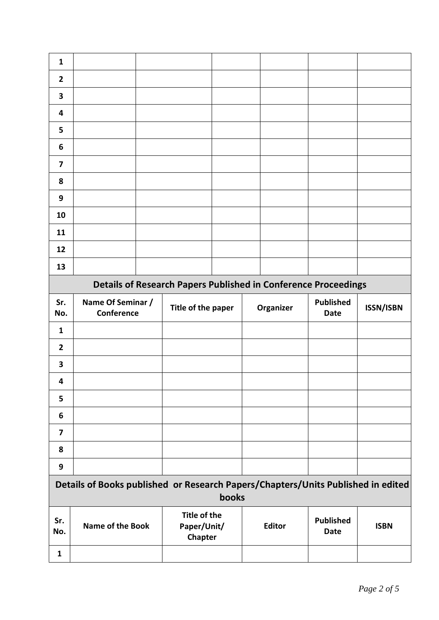| 1                                                                     |                   |  |                    |  |  |                  |                  |                    |
|-----------------------------------------------------------------------|-------------------|--|--------------------|--|--|------------------|------------------|--------------------|
| $\overline{2}$                                                        |                   |  |                    |  |  |                  |                  |                    |
| $\overline{\mathbf{3}}$                                               |                   |  |                    |  |  |                  |                  |                    |
| 4                                                                     |                   |  |                    |  |  |                  |                  |                    |
| 5                                                                     |                   |  |                    |  |  |                  |                  |                    |
| 6                                                                     |                   |  |                    |  |  |                  |                  |                    |
| $\overline{\mathbf{z}}$                                               |                   |  |                    |  |  |                  |                  |                    |
| 8                                                                     |                   |  |                    |  |  |                  |                  |                    |
| 9                                                                     |                   |  |                    |  |  |                  |                  |                    |
| 10                                                                    |                   |  |                    |  |  |                  |                  |                    |
| 11                                                                    |                   |  |                    |  |  |                  |                  |                    |
| 12                                                                    |                   |  |                    |  |  |                  |                  |                    |
| 13                                                                    |                   |  |                    |  |  |                  |                  |                    |
| <b>Details of Research Papers Published in Conference Proceedings</b> |                   |  |                    |  |  |                  |                  |                    |
| Sr.                                                                   | Name Of Seminar / |  | Title of the nanor |  |  | <b>Organizor</b> | <b>Published</b> | <b>ICCNI/ICRNI</b> |

| Sr.<br>No.              | Name Of Seminar /<br>Conference | Title of the paper | Organizer | <b>Published</b><br>Date | <b>ISSN/ISBN</b> |
|-------------------------|---------------------------------|--------------------|-----------|--------------------------|------------------|
| $\mathbf{1}$            |                                 |                    |           |                          |                  |
| $\overline{2}$          |                                 |                    |           |                          |                  |
| $\overline{\mathbf{3}}$ |                                 |                    |           |                          |                  |
| 4                       |                                 |                    |           |                          |                  |
| 5                       |                                 |                    |           |                          |                  |
| 6                       |                                 |                    |           |                          |                  |
| $\overline{\mathbf{z}}$ |                                 |                    |           |                          |                  |
| 8                       |                                 |                    |           |                          |                  |
| 9                       |                                 |                    |           |                          |                  |

| Details of Books published or Research Papers/Chapters/Units Published in edited<br>books |                         |                                        |               |                          |             |  |
|-------------------------------------------------------------------------------------------|-------------------------|----------------------------------------|---------------|--------------------------|-------------|--|
| Sr.<br>No.                                                                                | <b>Name of the Book</b> | Title of the<br>Paper/Unit/<br>Chapter | <b>Editor</b> | <b>Published</b><br>Date | <b>ISBN</b> |  |
|                                                                                           |                         |                                        |               |                          |             |  |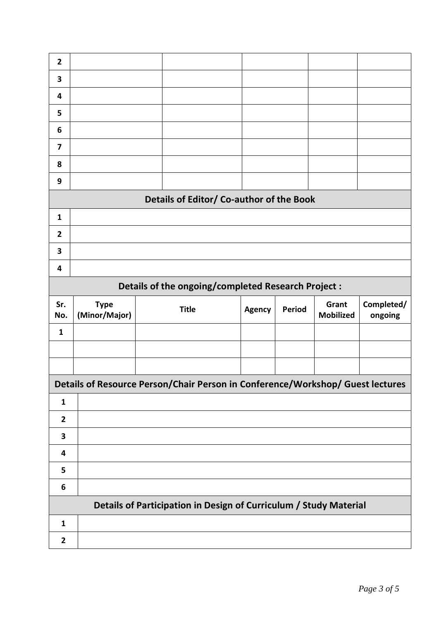| $\overline{2}$          |                                                     |  |                                                                                |               |        |                           |                       |  |
|-------------------------|-----------------------------------------------------|--|--------------------------------------------------------------------------------|---------------|--------|---------------------------|-----------------------|--|
| 3                       |                                                     |  |                                                                                |               |        |                           |                       |  |
| 4                       |                                                     |  |                                                                                |               |        |                           |                       |  |
| 5                       |                                                     |  |                                                                                |               |        |                           |                       |  |
| 6                       |                                                     |  |                                                                                |               |        |                           |                       |  |
| 7                       |                                                     |  |                                                                                |               |        |                           |                       |  |
| 8                       |                                                     |  |                                                                                |               |        |                           |                       |  |
| 9                       |                                                     |  |                                                                                |               |        |                           |                       |  |
|                         |                                                     |  | Details of Editor/ Co-author of the Book                                       |               |        |                           |                       |  |
| $\mathbf{1}$            |                                                     |  |                                                                                |               |        |                           |                       |  |
| $\mathbf{2}$            |                                                     |  |                                                                                |               |        |                           |                       |  |
| 3                       |                                                     |  |                                                                                |               |        |                           |                       |  |
| 4                       |                                                     |  |                                                                                |               |        |                           |                       |  |
|                         | Details of the ongoing/completed Research Project : |  |                                                                                |               |        |                           |                       |  |
|                         |                                                     |  |                                                                                |               |        |                           |                       |  |
| Sr.<br>No.              | <b>Type</b><br>(Minor/Major)                        |  | <b>Title</b>                                                                   | <b>Agency</b> | Period | Grant<br><b>Mobilized</b> | Completed/<br>ongoing |  |
| $\mathbf{1}$            |                                                     |  |                                                                                |               |        |                           |                       |  |
|                         |                                                     |  |                                                                                |               |        |                           |                       |  |
|                         |                                                     |  |                                                                                |               |        |                           |                       |  |
|                         |                                                     |  | Details of Resource Person/Chair Person in Conference/Workshop/ Guest lectures |               |        |                           |                       |  |
| $\mathbf{1}$            |                                                     |  |                                                                                |               |        |                           |                       |  |
| $\mathbf{2}$            |                                                     |  |                                                                                |               |        |                           |                       |  |
| $\overline{\mathbf{3}}$ |                                                     |  |                                                                                |               |        |                           |                       |  |
| 4                       |                                                     |  |                                                                                |               |        |                           |                       |  |
| 5                       |                                                     |  |                                                                                |               |        |                           |                       |  |
| $\boldsymbol{6}$        |                                                     |  |                                                                                |               |        |                           |                       |  |
|                         |                                                     |  | Details of Participation in Design of Curriculum / Study Material              |               |        |                           |                       |  |
| $\mathbf{1}$            |                                                     |  |                                                                                |               |        |                           |                       |  |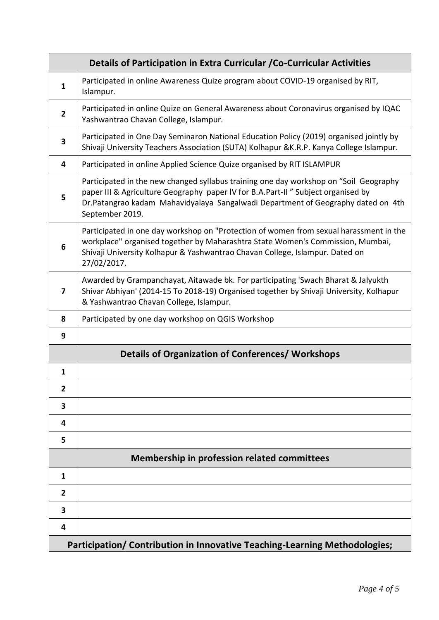|                         | Details of Participation in Extra Curricular / Co-Curricular Activities                                                                                                                                                                                                          |
|-------------------------|----------------------------------------------------------------------------------------------------------------------------------------------------------------------------------------------------------------------------------------------------------------------------------|
| 1                       | Participated in online Awareness Quize program about COVID-19 organised by RIT,<br>Islampur.                                                                                                                                                                                     |
| $\overline{2}$          | Participated in online Quize on General Awareness about Coronavirus organised by IQAC<br>Yashwantrao Chavan College, Islampur.                                                                                                                                                   |
| 3                       | Participated in One Day Seminaron National Education Policy (2019) organised jointly by<br>Shivaji University Teachers Association (SUTA) Kolhapur & K.R.P. Kanya College Islampur.                                                                                              |
| 4                       | Participated in online Applied Science Quize organised by RIT ISLAMPUR                                                                                                                                                                                                           |
| 5                       | Participated in the new changed syllabus training one day workshop on "Soil Geography<br>paper III & Agriculture Geography paper IV for B.A.Part-II" Subject organised by<br>Dr.Patangrao kadam Mahavidyalaya Sangalwadi Department of Geography dated on 4th<br>September 2019. |
| 6                       | Participated in one day workshop on "Protection of women from sexual harassment in the<br>workplace" organised together by Maharashtra State Women's Commission, Mumbai,<br>Shivaji University Kolhapur & Yashwantrao Chavan College, Islampur. Dated on<br>27/02/2017.          |
| 7                       | Awarded by Grampanchayat, Aitawade bk. For participating 'Swach Bharat & Jalyukth<br>Shivar Abhiyan' (2014-15 To 2018-19) Organised together by Shivaji University, Kolhapur<br>& Yashwantrao Chavan College, Islampur.                                                          |
| 8                       | Participated by one day workshop on QGIS Workshop                                                                                                                                                                                                                                |
| 9                       |                                                                                                                                                                                                                                                                                  |
|                         | <b>Details of Organization of Conferences/ Workshops</b>                                                                                                                                                                                                                         |
| 1                       |                                                                                                                                                                                                                                                                                  |
| $\overline{\mathbf{2}}$ |                                                                                                                                                                                                                                                                                  |
| 3                       |                                                                                                                                                                                                                                                                                  |
| 4                       |                                                                                                                                                                                                                                                                                  |
| 5                       |                                                                                                                                                                                                                                                                                  |
|                         | <b>Membership in profession related committees</b>                                                                                                                                                                                                                               |
| $\mathbf{1}$            |                                                                                                                                                                                                                                                                                  |
| 2                       |                                                                                                                                                                                                                                                                                  |
| 3                       |                                                                                                                                                                                                                                                                                  |
| 4                       |                                                                                                                                                                                                                                                                                  |
|                         | Participation/ Contribution in Innovative Teaching-Learning Methodologies;                                                                                                                                                                                                       |